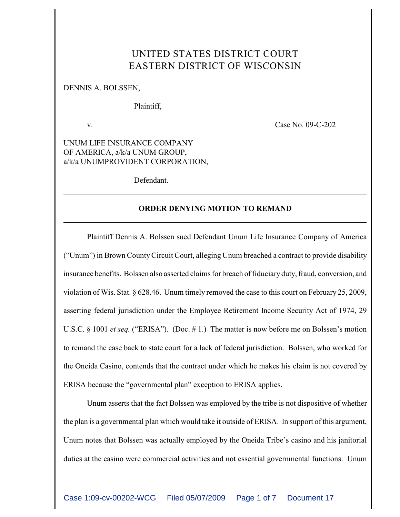# UNITED STATES DISTRICT COURT EASTERN DISTRICT OF WISCONSIN

## DENNIS A. BOLSSEN,

Plaintiff,

v. **Case No. 09-C-202** 

UNUM LIFE INSURANCE COMPANY OF AMERICA, a/k/a UNUM GROUP, a/k/a UNUMPROVIDENT CORPORATION,

Defendant.

# **ORDER DENYING MOTION TO REMAND**

Plaintiff Dennis A. Bolssen sued Defendant Unum Life Insurance Company of America ("Unum") in Brown County Circuit Court, alleging Unum breached a contract to provide disability insurance benefits. Bolssen also asserted claims for breach of fiduciary duty, fraud, conversion, and violation of Wis. Stat. § 628.46. Unum timely removed the case to this court on February 25, 2009, asserting federal jurisdiction under the Employee Retirement Income Security Act of 1974, 29 U.S.C. § 1001 *et seq.* ("ERISA"). (Doc. #1.) The matter is now before me on Bolssen's motion to remand the case back to state court for a lack of federal jurisdiction. Bolssen, who worked for the Oneida Casino, contends that the contract under which he makes his claim is not covered by ERISA because the "governmental plan" exception to ERISA applies.

Unum asserts that the fact Bolssen was employed by the tribe is not dispositive of whether the plan is a governmental plan which would take it outside of ERISA. In support of this argument, Unum notes that Bolssen was actually employed by the Oneida Tribe's casino and his janitorial duties at the casino were commercial activities and not essential governmental functions. Unum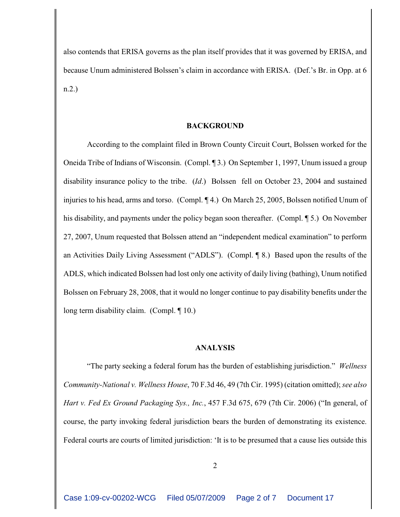also contends that ERISA governs as the plan itself provides that it was governed by ERISA, and because Unum administered Bolssen's claim in accordance with ERISA. (Def.'s Br. in Opp. at 6 n.2.)

#### **BACKGROUND**

According to the complaint filed in Brown County Circuit Court, Bolssen worked for the Oneida Tribe of Indians of Wisconsin. (Compl. ¶ 3.) On September 1, 1997, Unum issued a group disability insurance policy to the tribe. (*Id*.) Bolssen fell on October 23, 2004 and sustained injuries to his head, arms and torso. (Compl. ¶ 4.) On March 25, 2005, Bolssen notified Unum of his disability, and payments under the policy began soon thereafter. (Compl. ¶ 5.) On November 27, 2007, Unum requested that Bolssen attend an "independent medical examination" to perform an Activities Daily Living Assessment ("ADLS"). (Compl. ¶ 8.) Based upon the results of the ADLS, which indicated Bolssen had lost only one activity of daily living (bathing), Unum notified Bolssen on February 28, 2008, that it would no longer continue to pay disability benefits under the long term disability claim. (Compl. ¶ 10.)

#### **ANALYSIS**

"The party seeking a federal forum has the burden of establishing jurisdiction." *Wellness Community-National v. Wellness House*, 70 F.3d 46, 49 (7th Cir. 1995) (citation omitted); *see also Hart v. Fed Ex Ground Packaging Sys., Inc.*, 457 F.3d 675, 679 (7th Cir. 2006) ("In general, of course, the party invoking federal jurisdiction bears the burden of demonstrating its existence. Federal courts are courts of limited jurisdiction: 'It is to be presumed that a cause lies outside this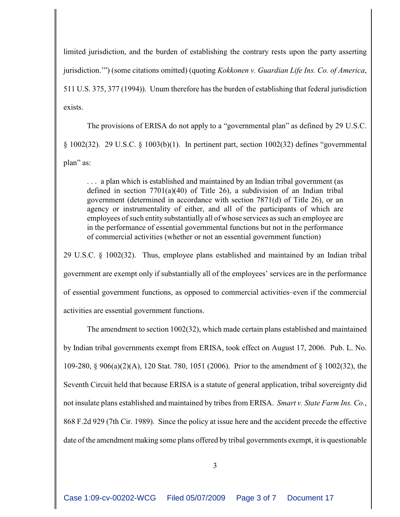limited jurisdiction, and the burden of establishing the contrary rests upon the party asserting jurisdiction.'") (some citations omitted) (quoting *Kokkonen v. Guardian Life Ins. Co. of America*, 511 U.S. 375, 377 (1994)). Unum therefore has the burden of establishing that federal jurisdiction exists.

The provisions of ERISA do not apply to a "governmental plan" as defined by 29 U.S.C. § 1002(32). 29 U.S.C. § 1003(b)(1). In pertinent part, section 1002(32) defines "governmental plan" as:

. . . a plan which is established and maintained by an Indian tribal government (as defined in section 7701(a)(40) of Title 26), a subdivision of an Indian tribal government (determined in accordance with section 7871(d) of Title 26), or an agency or instrumentality of either, and all of the participants of which are employees of such entity substantially all of whose services as such an employee are in the performance of essential governmental functions but not in the performance of commercial activities (whether or not an essential government function)

29 U.S.C. § 1002(32). Thus, employee plans established and maintained by an Indian tribal government are exempt only if substantially all of the employees' services are in the performance of essential government functions, as opposed to commercial activities–even if the commercial activities are essential government functions.

The amendment to section 1002(32), which made certain plans established and maintained by Indian tribal governments exempt from ERISA, took effect on August 17, 2006. Pub. L. No. 109-280, § 906(a)(2)(A), 120 Stat. 780, 1051 (2006). Prior to the amendment of § 1002(32), the Seventh Circuit held that because ERISA is a statute of general application, tribal sovereignty did not insulate plans established and maintained by tribes from ERISA. *Smart v. State Farm Ins. Co.*, 868 F.2d 929 (7th Cir. 1989). Since the policy at issue here and the accident precede the effective date of the amendment making some plans offered by tribal governments exempt, it is questionable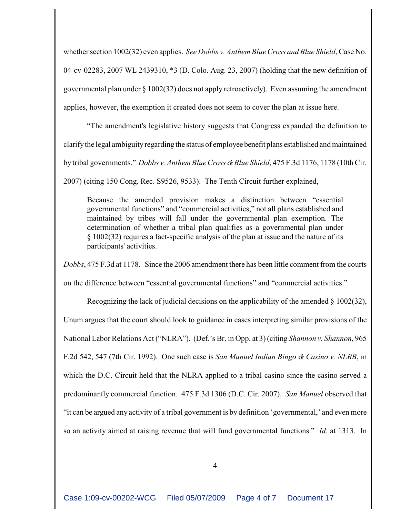whether section 1002(32) even applies. *See Dobbs v. Anthem Blue Cross and Blue Shield*, Case No. 04-cv-02283, 2007 WL 2439310, \*3 (D. Colo. Aug. 23, 2007) (holding that the new definition of governmental plan under  $\S 1002(32)$  does not apply retroactively). Even assuming the amendment applies, however, the exemption it created does not seem to cover the plan at issue here.

"The amendment's legislative history suggests that Congress expanded the definition to clarify the legal ambiguity regarding the status of employee benefit plans established and maintained by tribal governments." *Dobbs v. Anthem Blue Cross & Blue Shield*, 475 F.3d 1176, 1178 (10th Cir.

2007) (citing 150 Cong. Rec. S9526, 9533). The Tenth Circuit further explained,

Because the amended provision makes a distinction between "essential governmental functions" and "commercial activities," not all plans established and maintained by tribes will fall under the governmental plan exemption. The determination of whether a tribal plan qualifies as a governmental plan under § 1002(32) requires a fact-specific analysis of the plan at issue and the nature of its participants' activities.

*Dobbs*, 475 F.3d at 1178. Since the 2006 amendment there has been little comment from the courts on the difference between "essential governmental functions" and "commercial activities."

Recognizing the lack of judicial decisions on the applicability of the amended § 1002(32), Unum argues that the court should look to guidance in cases interpreting similar provisions of the National Labor Relations Act ("NLRA"). (Def.'s Br. in Opp. at 3) (citing *Shannon v. Shannon*, 965 F.2d 542, 547 (7th Cir. 1992). One such case is *San Manuel Indian Bingo & Casino v. NLRB*, in which the D.C. Circuit held that the NLRA applied to a tribal casino since the casino served a predominantly commercial function. 475 F.3d 1306 (D.C. Cir. 2007). *San Manuel* observed that "it can be argued any activity of a tribal government is by definition 'governmental,' and even more so an activity aimed at raising revenue that will fund governmental functions." *Id.* at 1313. In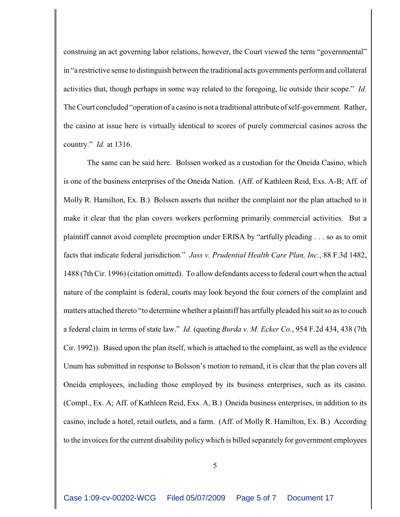construing an act governing labor relations, however, the Court viewed the term "governmental" in "a restrictive sense to distinguish between the traditional acts governments perform and collateral activities that, though perhaps in some way related to the foregoing, lie outside their scope." *Id.* The Court concluded "operation of a casino is not a traditional attribute of self-government. Rather, the casino at issue here is virtually identical to scores of purely commercial casinos across the country." *Id.* at 1316.

The same can be said here. Bolssen worked as a custodian for the Oneida Casino, which is one of the business enterprises of the Oneida Nation. (Aff. of Kathleen Reid, Exs. A-B; Aff. of Molly R. Hamilton, Ex. B.) Bolssen asserts that neither the complaint nor the plan attached to it make it clear that the plan covers workers performing primarily commercial activities. But a plaintiff cannot avoid complete preemption under ERISA by "artfully pleading . . . so as to omit facts that indicate federal jurisdiction." *Jass v. Prudential Health Care Plan, Inc.*, 88 F.3d 1482, 1488 (7th Cir. 1996) (citation omitted). To allow defendants access to federal court when the actual nature of the complaint is federal, courts may look beyond the four corners of the complaint and matters attached thereto "to determine whether a plaintiff has artfully pleaded his suit so as to couch a federal claim in terms of state law." *Id.* (quoting *Burda v. M. Ecker Co.*, 954 F.2d 434, 438 (7th Cir. 1992)). Based upon the plan itself, which is attached to the complaint, as well as the evidence Unum has submitted in response to Bolsson's motion to remand, it is clear that the plan covers all Oneida employees, including those employed by its business enterprises, such as its casino. (Compl., Ex. A; Aff. of Kathleen Reid, Exs. A, B.) Oneida business enterprises, in addition to its casino, include a hotel, retail outlets, and a farm. (Aff. of Molly R. Hamilton, Ex. B.) According to the invoices for the current disability policy which is billed separately for government employees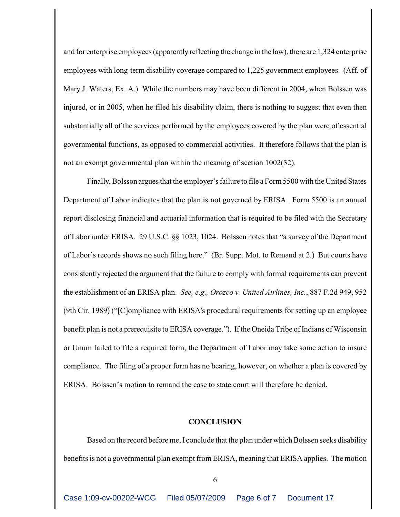and for enterprise employees (apparently reflecting the change in the law), there are 1,324 enterprise employees with long-term disability coverage compared to 1,225 government employees. (Aff. of Mary J. Waters, Ex. A.) While the numbers may have been different in 2004, when Bolssen was injured, or in 2005, when he filed his disability claim, there is nothing to suggest that even then substantially all of the services performed by the employees covered by the plan were of essential governmental functions, as opposed to commercial activities. It therefore follows that the plan is not an exempt governmental plan within the meaning of section 1002(32).

Finally, Bolsson argues that the employer's failure to file a Form 5500 with the United States Department of Labor indicates that the plan is not governed by ERISA. Form 5500 is an annual report disclosing financial and actuarial information that is required to be filed with the Secretary of Labor under ERISA. 29 U.S.C. §§ 1023, 1024. Bolssen notes that "a survey of the Department of Labor's records shows no such filing here." (Br. Supp. Mot. to Remand at 2.) But courts have consistently rejected the argument that the failure to comply with formal requirements can prevent the establishment of an ERISA plan. *See, e.g., Orozco v. United Airlines, Inc.*, 887 F.2d 949, 952 (9th Cir. 1989) ("[C]ompliance with ERISA's procedural requirements for setting up an employee benefit plan is not a prerequisite to ERISA coverage."). If the Oneida Tribe of Indians of Wisconsin or Unum failed to file a required form, the Department of Labor may take some action to insure compliance. The filing of a proper form has no bearing, however, on whether a plan is covered by ERISA. Bolssen's motion to remand the case to state court will therefore be denied.

## **CONCLUSION**

Based on the record before me, I conclude that the plan under which Bolssen seeks disability benefits is not a governmental plan exempt from ERISA, meaning that ERISA applies. The motion